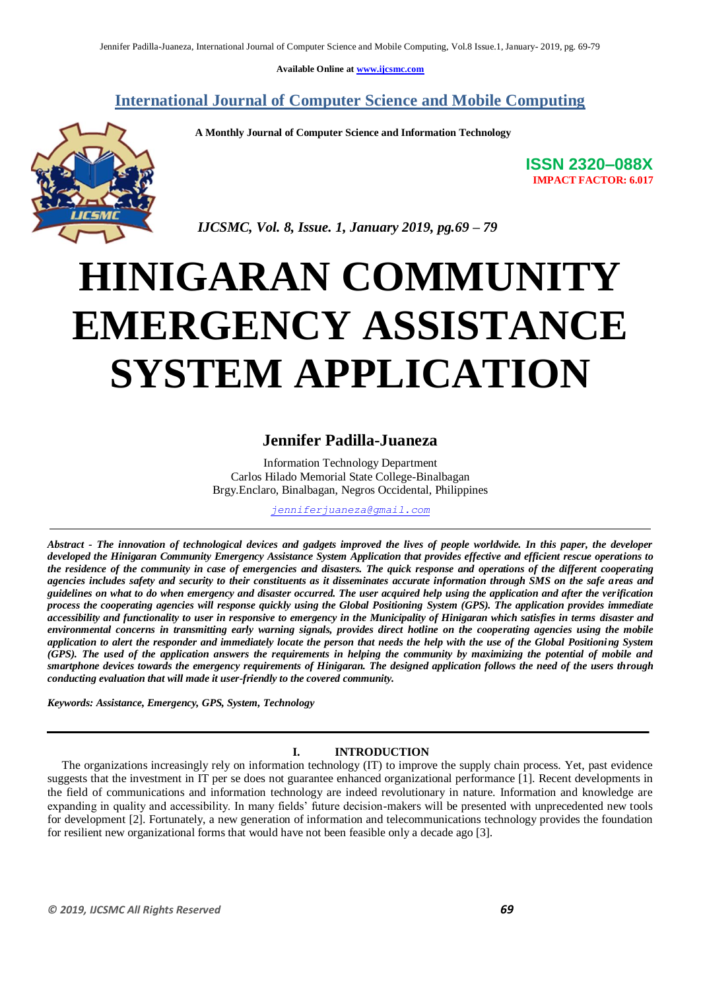**Available Online at www.ijcsmc.com**

**International Journal of Computer Science and Mobile Computing**

 **A Monthly Journal of Computer Science and Information Technology**



**ISSN 2320–088X IMPACT FACTOR: 6.017**

 *IJCSMC, Vol. 8, Issue. 1, January 2019, pg.69 – 79*

# **HINIGARAN COMMUNITY EMERGENCY ASSISTANCE SYSTEM APPLICATION**

# **Jennifer Padilla-Juaneza**

Information Technology Department Carlos Hilado Memorial State College-Binalbagan Brgy.Enclaro, Binalbagan, Negros Occidental, Philippines

*jenniferjuaneza@gmail.com*

*Abstract - The innovation of technological devices and gadgets improved the lives of people worldwide. In this paper, the developer developed the Hinigaran Community Emergency Assistance System Application that provides effective and efficient rescue operations to the residence of the community in case of emergencies and disasters. The quick response and operations of the different cooperating agencies includes safety and security to their constituents as it disseminates accurate information through SMS on the safe areas and guidelines on what to do when emergency and disaster occurred. The user acquired help using the application and after the verification process the cooperating agencies will response quickly using the Global Positioning System (GPS). The application provides immediate accessibility and functionality to user in responsive to emergency in the Municipality of Hinigaran which satisfies in terms disaster and environmental concerns in transmitting early warning signals, provides direct hotline on the cooperating agencies using the mobile application to alert the responder and immediately locate the person that needs the help with the use of the Global Positioning System (GPS). The used of the application answers the requirements in helping the community by maximizing the potential of mobile and smartphone devices towards the emergency requirements of Hinigaran. The designed application follows the need of the users through conducting evaluation that will made it user-friendly to the covered community.* 

*Keywords: Assistance, Emergency, GPS, System, Technology*

# **I. INTRODUCTION**

 The organizations increasingly rely on information technology (IT) to improve the supply chain process. Yet, past evidence suggests that the investment in IT per se does not guarantee enhanced organizational performance [1]. Recent developments in the field of communications and information technology are indeed revolutionary in nature. Information and knowledge are expanding in quality and accessibility. In many fields' future decision-makers will be presented with unprecedented new tools for development [2]. Fortunately, a new generation of information and telecommunications technology provides the foundation for resilient new organizational forms that would have not been feasible only a decade ago [3].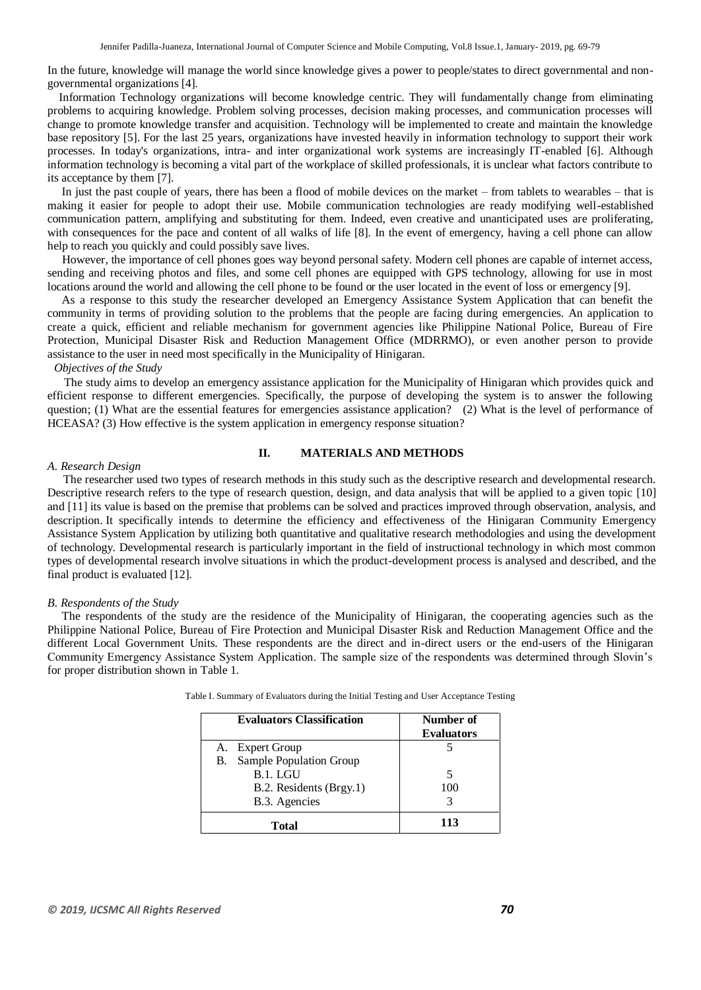In the future, knowledge will manage the world since knowledge gives a power to people/states to direct governmental and nongovernmental organizations [4].

 Information Technology organizations will become knowledge centric. They will fundamentally change from eliminating problems to acquiring knowledge. Problem solving processes, decision making processes, and communication processes will change to promote knowledge transfer and acquisition. Technology will be implemented to create and maintain the knowledge base repository [5]. For the last 25 years, organizations have invested heavily in information technology to support their work processes. In today's organizations, intra- and inter organizational work systems are increasingly IT-enabled [6]. Although information technology is becoming a vital part of the workplace of skilled professionals, it is unclear what factors contribute to its acceptance by them [7].

 In just the past couple of years, there has been a flood of mobile devices on the market – from tablets to wearables – that is making it easier for people to adopt their use. Mobile communication technologies are ready modifying well-established communication pattern, amplifying and substituting for them. Indeed, even creative and unanticipated uses are proliferating, with consequences for the pace and content of all walks of life [8]. In the event of emergency, having a cell phone can allow help to reach you quickly and could possibly save lives.

 However, the importance of cell phones goes way beyond personal safety. Modern cell phones are capable of internet access, sending and receiving photos and files, and some cell phones are equipped with GPS technology, allowing for use in most locations around the world and allowing the cell phone to be found or the user located in the event of loss or emergency [9].

 As a response to this study the researcher developed an Emergency Assistance System Application that can benefit the community in terms of providing solution to the problems that the people are facing during emergencies. An application to create a quick, efficient and reliable mechanism for government agencies like Philippine National Police, Bureau of Fire Protection, Municipal Disaster Risk and Reduction Management Office (MDRRMO), or even another person to provide assistance to the user in need most specifically in the Municipality of Hinigaran.

#### *Objectives of the Study*

The study aims to develop an emergency assistance application for the Municipality of Hinigaran which provides quick and efficient response to different emergencies. Specifically, the purpose of developing the system is to answer the following question; (1) What are the essential features for emergencies assistance application? (2) What is the level of performance of HCEASA? (3) How effective is the system application in emergency response situation?

### **II. MATERIALS AND METHODS**

#### *A. Research Design*

 The researcher used two types of research methods in this study such as the descriptive research and developmental research. Descriptive research refers to the type of research question, design, and data analysis that will be applied to a given topic [10] and [11] its value is based on the premise that problems can be solved and practices improved through observation, analysis, and description. It specifically intends to determine the efficiency and effectiveness of the Hinigaran Community Emergency Assistance System Application by utilizing both quantitative and qualitative research methodologies and using the development of technology. Developmental research is particularly important in the field of instructional technology in which most common types of developmental research involve situations in which the product-development process is analysed and described, and the final product is evaluated [12].

#### *B. Respondents of the Study*

 The respondents of the study are the residence of the Municipality of Hinigaran, the cooperating agencies such as the Philippine National Police, Bureau of Fire Protection and Municipal Disaster Risk and Reduction Management Office and the different Local Government Units. These respondents are the direct and in-direct users or the end-users of the Hinigaran Community Emergency Assistance System Application. The sample size of the respondents was determined through Slovin's for proper distribution shown in Table 1.

| <b>Evaluators Classification</b> | Number of<br><b>Evaluators</b> |
|----------------------------------|--------------------------------|
| A. Expert Group                  |                                |
| Sample Population Group<br>В.    |                                |
| B.1. LGU                         |                                |
| B.2. Residents (Brgy.1)          | 100                            |
| B.3. Agencies                    |                                |
| <b>Total</b>                     | 113                            |

Table I. Summary of Evaluators during the Initial Testing and User Acceptance Testing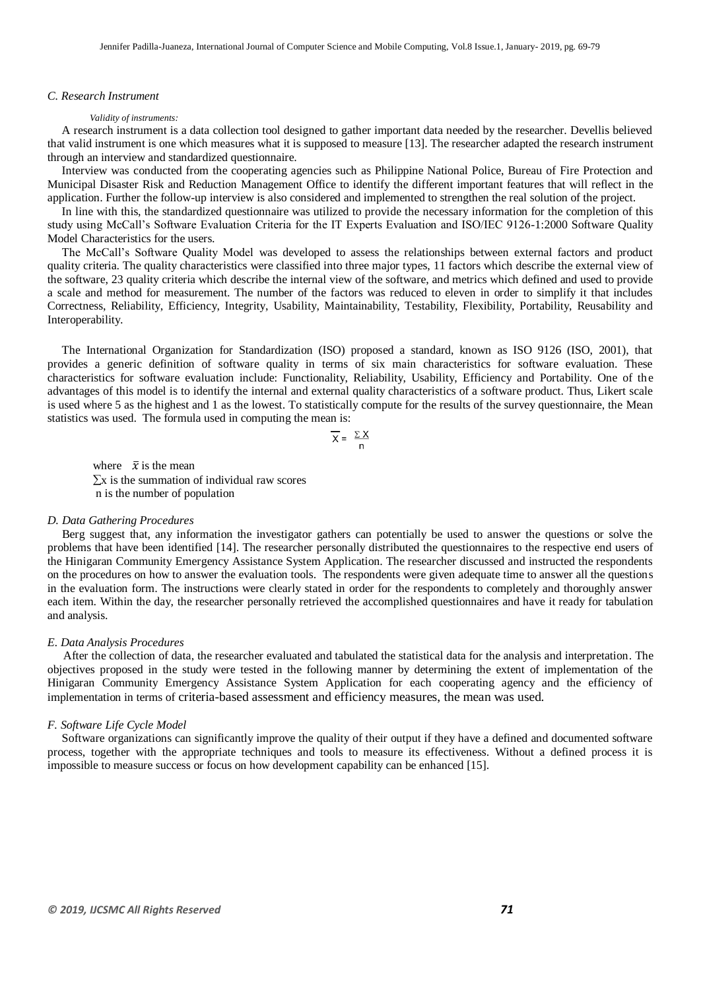#### *C. Research Instrument*

#### *Validity of instruments:*

 A research instrument is a data collection tool designed to gather important data needed by the researcher. Devellis believed that valid instrument is one which measures what it is supposed to measure [13]. The researcher adapted the research instrument through an interview and standardized questionnaire.

 Interview was conducted from the cooperating agencies such as Philippine National Police, Bureau of Fire Protection and Municipal Disaster Risk and Reduction Management Office to identify the different important features that will reflect in the application. Further the follow-up interview is also considered and implemented to strengthen the real solution of the project.

 In line with this, the standardized questionnaire was utilized to provide the necessary information for the completion of this study using McCall's Software Evaluation Criteria for the IT Experts Evaluation and ISO/IEC 9126-1:2000 Software Quality Model Characteristics for the users.

 The McCall's Software Quality Model was developed to assess the relationships between external factors and product quality criteria. The quality characteristics were classified into three major types, 11 factors which describe the external view of the software, 23 quality criteria which describe the internal view of the software, and metrics which defined and used to provide a scale and method for measurement. The number of the factors was reduced to eleven in order to simplify it that includes Correctness, Reliability, Efficiency, Integrity, Usability, Maintainability, Testability, Flexibility, Portability, Reusability and Interoperability.

 The International Organization for Standardization (ISO) proposed a standard, known as ISO 9126 (ISO, 2001), that provides a generic definition of software quality in terms of six main characteristics for software evaluation. These characteristics for software evaluation include: Functionality, Reliability, Usability, Efficiency and Portability. One of the advantages of this model is to identify the internal and external quality characteristics of a software product. Thus, Likert scale is used where 5 as the highest and 1 as the lowest. To statistically compute for the results of the survey questionnaire, the Mean statistics was used. The formula used in computing the mean is:

$$
\overline{X} = \frac{\Sigma X}{n}
$$

where  $\bar{x}$  is the mean  $\Sigma x$  is the summation of individual raw scores n is the number of population

#### *D. Data Gathering Procedures*

 Berg suggest that, any information the investigator gathers can potentially be used to answer the questions or solve the problems that have been identified [14]. The researcher personally distributed the questionnaires to the respective end users of the Hinigaran Community Emergency Assistance System Application. The researcher discussed and instructed the respondents on the procedures on how to answer the evaluation tools. The respondents were given adequate time to answer all the questions in the evaluation form. The instructions were clearly stated in order for the respondents to completely and thoroughly answer each item. Within the day, the researcher personally retrieved the accomplished questionnaires and have it ready for tabulation and analysis.

#### *E. Data Analysis Procedures*

 After the collection of data, the researcher evaluated and tabulated the statistical data for the analysis and interpretation. The objectives proposed in the study were tested in the following manner by determining the extent of implementation of the Hinigaran Community Emergency Assistance System Application for each cooperating agency and the efficiency of implementation in terms of criteria-based assessment and efficiency measures, the mean was used.

#### *F. Software Life Cycle Model*

 Software organizations can significantly improve the quality of their output if they have a defined and documented software process, together with the appropriate techniques and tools to measure its effectiveness. Without a defined process it is impossible to measure success or focus on how development capability can be enhanced [15].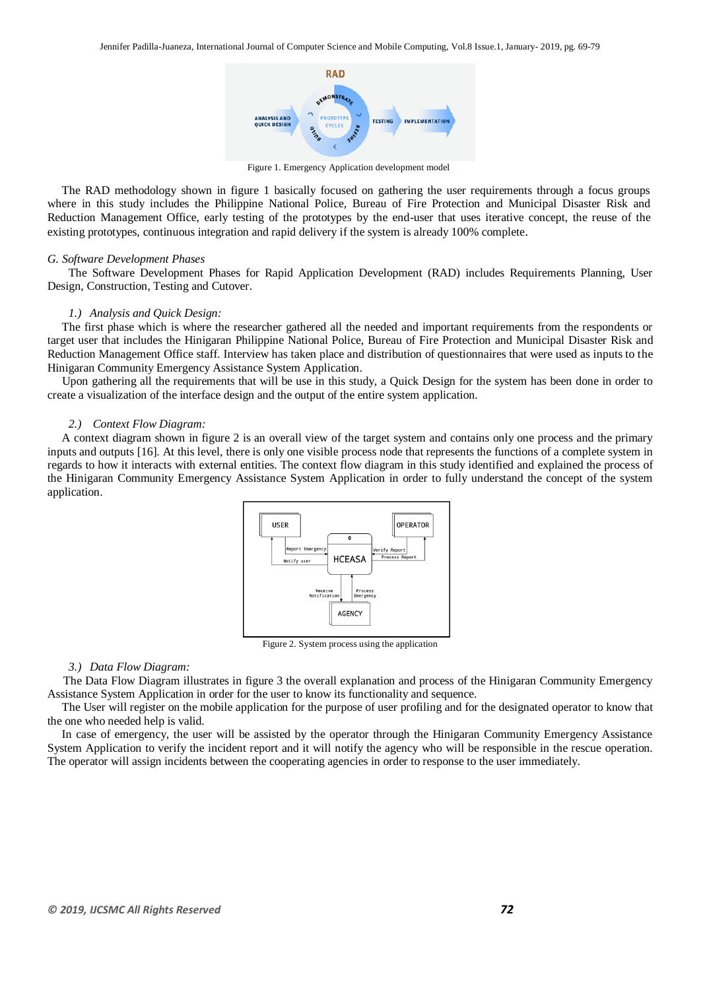

Figure 1. Emergency Application development model

 The RAD methodology shown in figure 1 basically focused on gathering the user requirements through a focus groups where in this study includes the Philippine National Police, Bureau of Fire Protection and Municipal Disaster Risk and Reduction Management Office, early testing of the prototypes by the end-user that uses iterative concept, the reuse of the existing prototypes, continuous integration and rapid delivery if the system is already 100% complete.

#### *G. Software Development Phases*

The Software Development Phases for Rapid Application Development (RAD) includes Requirements Planning, User Design, Construction, Testing and Cutover.

#### *1.) Analysis and Quick Design:*

 The first phase which is where the researcher gathered all the needed and important requirements from the respondents or target user that includes the Hinigaran Philippine National Police, Bureau of Fire Protection and Municipal Disaster Risk and Reduction Management Office staff. Interview has taken place and distribution of questionnaires that were used as inputs to the Hinigaran Community Emergency Assistance System Application.

 Upon gathering all the requirements that will be use in this study, a Quick Design for the system has been done in order to create a visualization of the interface design and the output of the entire system application.

#### *2.) Context Flow Diagram:*

 A context diagram shown in figure 2 is an overall view of the target system and contains only one process and the primary inputs and outputs [16]. At this level, there is only one visible process node that represents the functions of a complete system in regards to how it interacts with external entities. The context flow diagram in this study identified and explained the process of the Hinigaran Community Emergency Assistance System Application in order to fully understand the concept of the system application.



Figure 2. System process using the application

#### *3.) Data Flow Diagram:*

 The Data Flow Diagram illustrates in figure 3 the overall explanation and process of the Hinigaran Community Emergency Assistance System Application in order for the user to know its functionality and sequence.

 The User will register on the mobile application for the purpose of user profiling and for the designated operator to know that the one who needed help is valid.

 In case of emergency, the user will be assisted by the operator through the Hinigaran Community Emergency Assistance System Application to verify the incident report and it will notify the agency who will be responsible in the rescue operation. The operator will assign incidents between the cooperating agencies in order to response to the user immediately.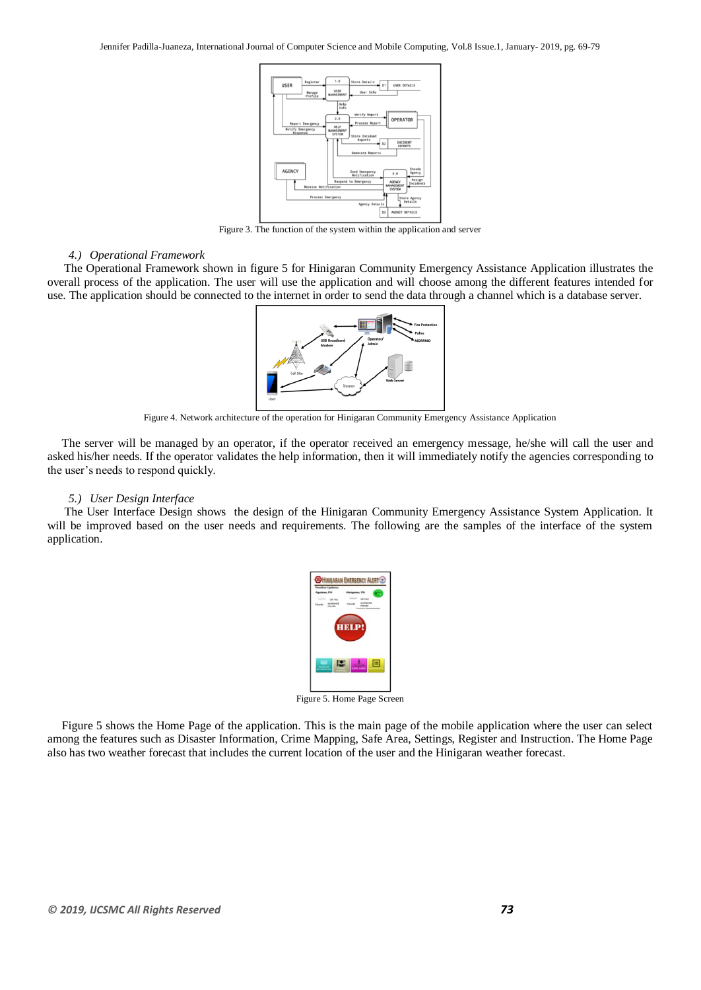

Figure 3. The function of the system within the application and server

#### *4.) Operational Framework*

The Operational Framework shown in figure 5 for Hinigaran Community Emergency Assistance Application illustrates the overall process of the application. The user will use the application and will choose among the different features intended for use. The application should be connected to the internet in order to send the data through a channel which is a database server.



Figure 4. Network architecture of the operation for Hinigaran Community Emergency Assistance Application

 The server will be managed by an operator, if the operator received an emergency message, he/she will call the user and asked his/her needs. If the operator validates the help information, then it will immediately notify the agencies corresponding to the user's needs to respond quickly.

#### *5.) User Design Interface*

The User Interface Design shows the design of the Hinigaran Community Emergency Assistance System Application. It will be improved based on the user needs and requirements. The following are the samples of the interface of the system application.



Figure 5. Home Page Screen

 Figure 5 shows the Home Page of the application. This is the main page of the mobile application where the user can select among the features such as Disaster Information, Crime Mapping, Safe Area, Settings, Register and Instruction. The Home Page also has two weather forecast that includes the current location of the user and the Hinigaran weather forecast.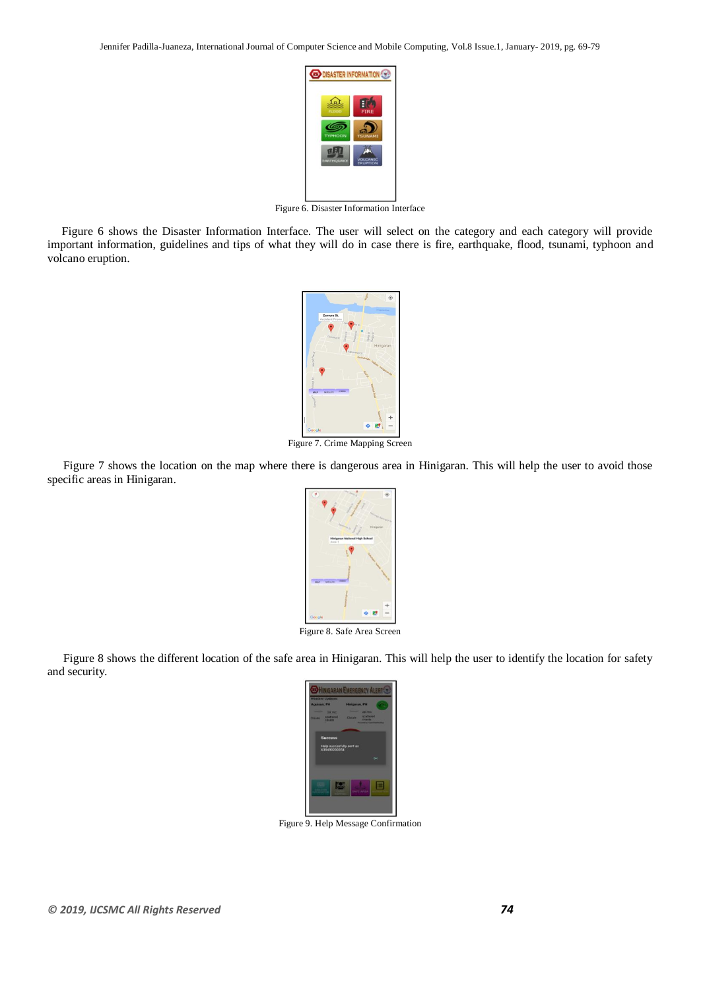

Figure 6. Disaster Information Interface

 Figure 6 shows the Disaster Information Interface. The user will select on the category and each category will provide important information, guidelines and tips of what they will do in case there is fire, earthquake, flood, tsunami, typhoon and volcano eruption.



Figure 7. Crime Mapping Screen

 Figure 7 shows the location on the map where there is dangerous area in Hinigaran. This will help the user to avoid those specific areas in Hinigaran.



Figure 8. Safe Area Screen

 Figure 8 shows the different location of the safe area in Hinigaran. This will help the user to identify the location for safety and security.



Figure 9. Help Message Confirmation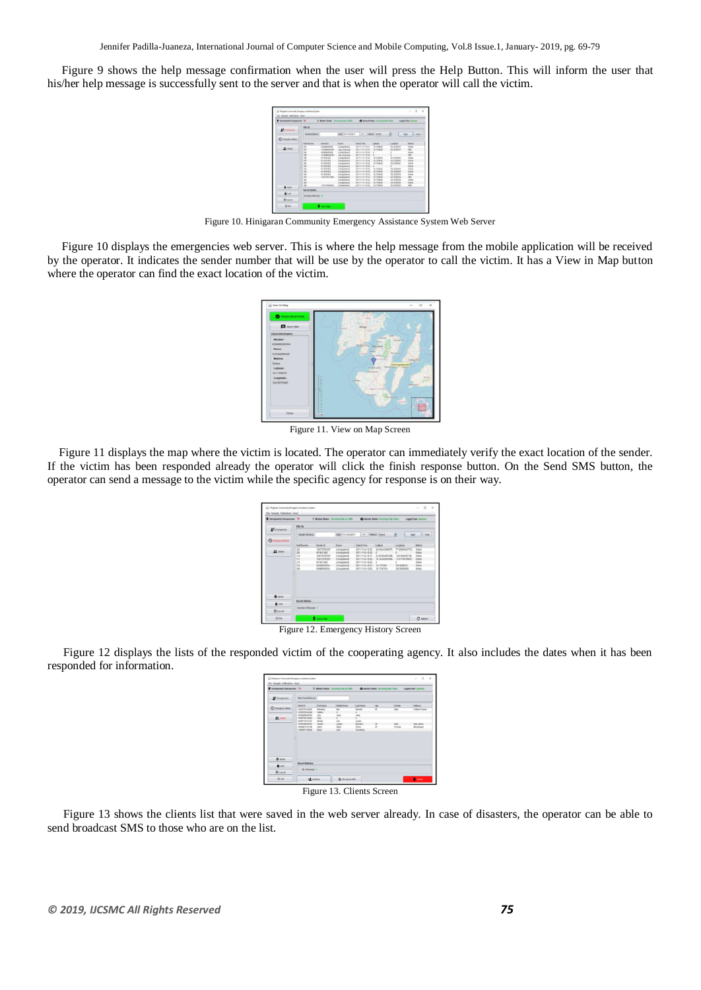Figure 9 shows the help message confirmation when the user will press the Help Button. This will inform the user that his/her help message is successfully sent to the server and that is when the operator will call the victim.



Figure 10. Hinigaran Community Emergency Assistance System Web Server

 Figure 10 displays the emergencies web server. This is where the help message from the mobile application will be received by the operator. It indicates the sender number that will be use by the operator to call the victim. It has a View in Map button where the operator can find the exact location of the victim.



Figure 11. View on Map Screen

 Figure 11 displays the map where the victim is located. The operator can immediately verify the exact location of the sender. If the victim has been responded already the operator will click the finish response button. On the Send SMS button, the operator can send a message to the victim while the specific agency for response is on their way.

| Turesponded Energencies: 79 |                                               |                                                                                                                                | 9 Motive Status: Securing ting ou SIFS                                                                                                            |                                                                                                                                            | C branar Dates: Governor Federal Dates                                                     |                                                                                       | <b>Legged User: Joennas</b>                                                           |
|-----------------------------|-----------------------------------------------|--------------------------------------------------------------------------------------------------------------------------------|---------------------------------------------------------------------------------------------------------------------------------------------------|--------------------------------------------------------------------------------------------------------------------------------------------|--------------------------------------------------------------------------------------------|---------------------------------------------------------------------------------------|---------------------------------------------------------------------------------------|
| <sup>49</sup> Emergencies   | <b>Fifter By</b><br><b>Sender Cifizener</b>   |                                                                                                                                | Date: Fix 11DAD217                                                                                                                                | Mehud   Send                                                                                                                               |                                                                                            | ×                                                                                     |                                                                                       |
| <b>Q</b> Energier Hitch     |                                               |                                                                                                                                |                                                                                                                                                   |                                                                                                                                            |                                                                                            | <b>CONTRACTOR</b>                                                                     | $ 1000\rangle$                                                                        |
|                             | <b>SURTAURE</b>                               | Sente ID                                                                                                                       | Name                                                                                                                                              | Date & Time                                                                                                                                | Lathate                                                                                    | Londone                                                                               | Method                                                                                |
| 25 Class                    | 223<br>225<br>218<br>217<br>210<br>215<br>359 | 639772784307<br><b>BYTASY SECK</b><br>E39772791207<br>633772781357<br><b><i>RYTHS ENDS</i></b><br>ET6a9000015A<br>636400206354 | Climbidwell<br>(University of<br>(Unequined).<br>(Unequined)<br>(Unescolared)<br>(Universidade)<br><b><i><i><u><b>DRINGSDAVER</b></u></i></i></b> | 2017-11-24 10:23<br>2017-15-24 16:52<br>2017-11-24 10:31<br>3017-11-24 16:29.<br>2017-11-24 16:34<br>2017-11-24 14 IV.<br>2017-11-24 13:25 | 22.602443940575<br>۵<br>AS ATTRAAMSSAL<br>79.34430005548<br>ö<br>18.1717506<br>18.17267214 | 77.508954037725<br>-120 nonspearer.<br>-74 STYLETONIAK<br>122 annahra<br>122 88563045 | Online<br>bites<br><b>Inter</b><br><b>Critical</b><br><b>Cester</b><br>Drive<br>Drive |
| <b>Q</b> Admin              |                                               |                                                                                                                                |                                                                                                                                                   |                                                                                                                                            |                                                                                            |                                                                                       |                                                                                       |
| 600                         | <b>Barney Statute</b>                         |                                                                                                                                |                                                                                                                                                   |                                                                                                                                            |                                                                                            |                                                                                       |                                                                                       |
| <b>Biagon</b>               | <b>Number of Records</b> 7                    |                                                                                                                                |                                                                                                                                                   |                                                                                                                                            |                                                                                            |                                                                                       |                                                                                       |
| <b>OTH</b>                  |                                               | <b>Q</b> main that                                                                                                             |                                                                                                                                                   |                                                                                                                                            |                                                                                            |                                                                                       | C have                                                                                |

Figure 12. Emergency History Screen

 Figure 12 displays the lists of the responded victim of the cooperating agency. It also includes the dates when it has been responded for information.

| Unresponded Emergencies: 79 |                                |             | <b>V Modem Status: Receiving Helpvin SMS</b> |                    | <b>Children' Status: Receiving Kelp Online</b> |               | Logged User: Branch |
|-----------------------------|--------------------------------|-------------|----------------------------------------------|--------------------|------------------------------------------------|---------------|---------------------|
| <sup>94</sup> Emergencies   | <b>Fibri Cent Difune</b>       |             |                                              |                    |                                                |               |                     |
|                             | <b>Clert ID</b>                | FirstName   | Middle Name                                  | <b>Last Name</b>   | Apr                                            | <b>Cender</b> | <b>Address</b>      |
| <b>Q</b> Energency Holm     | +639175164620                  | Borsleng    | Bott                                         | Rontak             | $\overline{15}$                                | Male          | Fortune Towne       |
|                             | +13052542040                   | Gallery     | $\overline{a}$                               | $\epsilon$         |                                                |               |                     |
|                             | «E10408200354                  | Jan         | Jane                                         | Jang               |                                                |               |                     |
| 25 Class                    | $-030778178063$                | Tanz        | $\mathbf{r}$                                 | ×                  |                                                |               |                     |
|                             | $-0.06772791367$               | Rubert      | <b>UM</b>                                    | Liaded             |                                                |               |                     |
|                             | $-0.39194409822$               | North       | Labaic                                       | <b>Monders</b>     | <b>N</b>                                       | Main          | San Carlos          |
|                             | +E39461162196<br>«E39087186629 | San<br>Boss | <b>Bost</b><br>Last                          | Terry<br>Turnabing | ×                                              | Eamste        | Brushapen           |
| <b>Q</b> Admin<br>$6$ Lack  | <b>Benefit Safeting</b>        |             |                                              |                    |                                                |               |                     |
| Rilling out                 | No of excepts: it              |             |                                              |                    |                                                |               |                     |
|                             |                                |             |                                              |                    |                                                |               |                     |

Figure 13. Clients Screen

 Figure 13 shows the clients list that were saved in the web server already. In case of disasters, the operator can be able to send broadcast SMS to those who are on the list.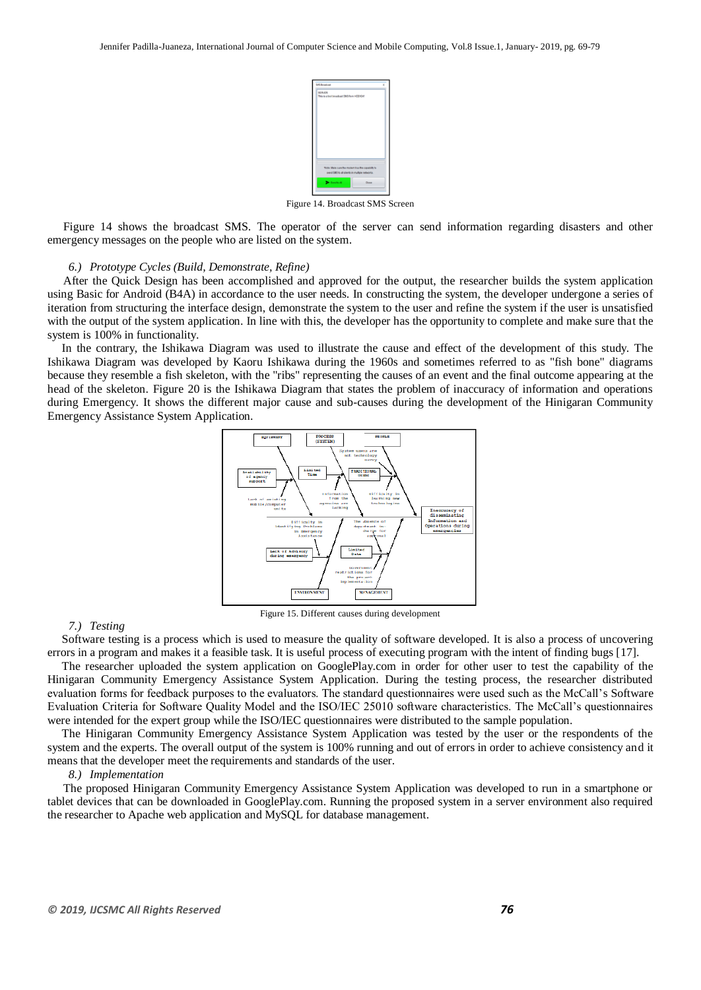

Figure 14. Broadcast SMS Screen

 Figure 14 shows the broadcast SMS. The operator of the server can send information regarding disasters and other emergency messages on the people who are listed on the system.

#### *6.) Prototype Cycles (Build, Demonstrate, Refine)*

 After the Quick Design has been accomplished and approved for the output, the researcher builds the system application using Basic for Android (B4A) in accordance to the user needs. In constructing the system, the developer undergone a series of iteration from structuring the interface design, demonstrate the system to the user and refine the system if the user is unsatisfied with the output of the system application. In line with this, the developer has the opportunity to complete and make sure that the system is 100% in functionality.

 In the contrary, the Ishikawa Diagram was used to illustrate the cause and effect of the development of this study. The Ishikawa Diagram was developed by Kaoru Ishikawa during the 1960s and sometimes referred to as "fish bone" diagrams because they resemble a fish skeleton, with the "ribs" representing the causes of an event and the final outcome appearing at the head of the skeleton. Figure 20 is the Ishikawa Diagram that states the problem of inaccuracy of information and operations during Emergency. It shows the different major cause and sub-causes during the development of the Hinigaran Community Emergency Assistance System Application.



Figure 15. Different causes during development

#### *7.) Testing*

 Software testing is a process which is used to measure the quality of software developed. It is also a process of uncovering errors in a program and makes it a feasible task. It is useful process of executing program with the intent of finding bugs [17].

 The researcher uploaded the system application on GooglePlay.com in order for other user to test the capability of the Hinigaran Community Emergency Assistance System Application. During the testing process, the researcher distributed evaluation forms for feedback purposes to the evaluators. The standard questionnaires were used such as the McCall's Software Evaluation Criteria for Software Quality Model and the ISO/IEC 25010 software characteristics. The McCall's questionnaires were intended for the expert group while the ISO/IEC questionnaires were distributed to the sample population.

 The Hinigaran Community Emergency Assistance System Application was tested by the user or the respondents of the system and the experts. The overall output of the system is 100% running and out of errors in order to achieve consistency and it means that the developer meet the requirements and standards of the user.

#### *8.) Implementation*

 The proposed Hinigaran Community Emergency Assistance System Application was developed to run in a smartphone or tablet devices that can be downloaded in GooglePlay.com. Running the proposed system in a server environment also required the researcher to Apache web application and MySQL for database management.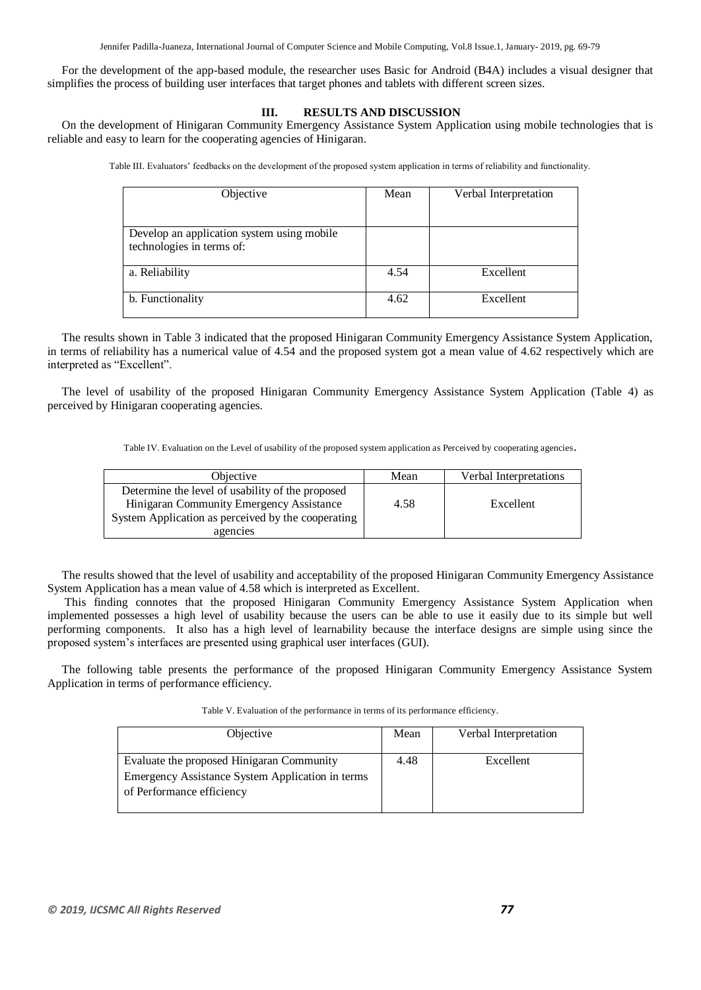Jennifer Padilla-Juaneza, International Journal of Computer Science and Mobile Computing, Vol.8 Issue.1, January- 2019, pg. 69-79

 For the development of the app-based module, the researcher uses Basic for Android (B4A) includes a visual designer that simplifies the process of building user interfaces that target phones and tablets with different screen sizes.

## **III. RESULTS AND DISCUSSION**

 On the development of Hinigaran Community Emergency Assistance System Application using mobile technologies that is reliable and easy to learn for the cooperating agencies of Hinigaran.

Table III. Evaluators' feedbacks on the development of the proposed system application in terms of reliability and functionality.

| Objective                                                               | Mean | Verbal Interpretation |
|-------------------------------------------------------------------------|------|-----------------------|
|                                                                         |      |                       |
| Develop an application system using mobile<br>technologies in terms of: |      |                       |
| a. Reliability                                                          | 4.54 | Excellent             |
| b. Functionality                                                        | 4.62 | Excellent             |

 The results shown in Table 3 indicated that the proposed Hinigaran Community Emergency Assistance System Application, in terms of reliability has a numerical value of 4.54 and the proposed system got a mean value of 4.62 respectively which are interpreted as "Excellent".

 The level of usability of the proposed Hinigaran Community Emergency Assistance System Application (Table 4) as perceived by Hinigaran cooperating agencies.

Table IV. Evaluation on the Level of usability of the proposed system application as Perceived by cooperating agencies.

| <i><b>Objective</b></i>                            | Mean | Verbal Interpretations |
|----------------------------------------------------|------|------------------------|
| Determine the level of usability of the proposed   |      |                        |
| Hinigaran Community Emergency Assistance           | 4.58 | Excellent              |
| System Application as perceived by the cooperating |      |                        |
| agencies                                           |      |                        |

 The results showed that the level of usability and acceptability of the proposed Hinigaran Community Emergency Assistance System Application has a mean value of 4.58 which is interpreted as Excellent.

 This finding connotes that the proposed Hinigaran Community Emergency Assistance System Application when implemented possesses a high level of usability because the users can be able to use it easily due to its simple but well performing components. It also has a high level of learnability because the interface designs are simple using since the proposed system's interfaces are presented using graphical user interfaces (GUI).

 The following table presents the performance of the proposed Hinigaran Community Emergency Assistance System Application in terms of performance efficiency.

| Objective                                        | Mean | Verbal Interpretation |
|--------------------------------------------------|------|-----------------------|
| Evaluate the proposed Hinigaran Community        | 4.48 | Excellent             |
| Emergency Assistance System Application in terms |      |                       |
| of Performance efficiency                        |      |                       |

Table V. Evaluation of the performance in terms of its performance efficiency.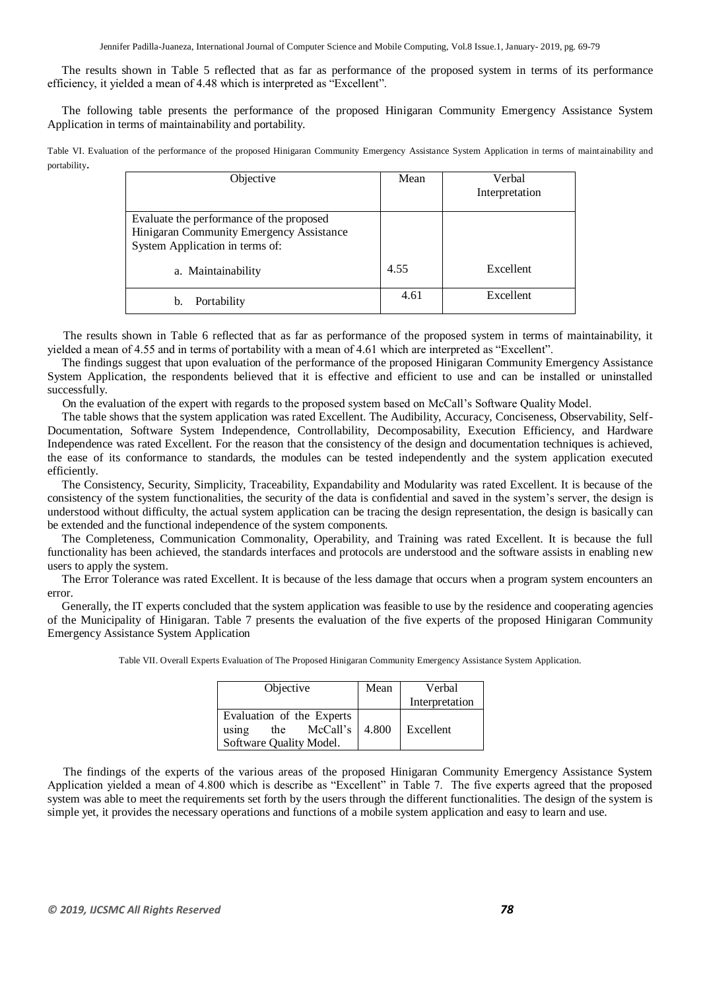Jennifer Padilla-Juaneza, International Journal of Computer Science and Mobile Computing, Vol.8 Issue.1, January- 2019, pg. 69-79

 The results shown in Table 5 reflected that as far as performance of the proposed system in terms of its performance efficiency, it yielded a mean of 4.48 which is interpreted as "Excellent".

 The following table presents the performance of the proposed Hinigaran Community Emergency Assistance System Application in terms of maintainability and portability.

Table VI. Evaluation of the performance of the proposed Hinigaran Community Emergency Assistance System Application in terms of maintainability and portability.

| Objective                                                                                                               | Mean | Verbal         |
|-------------------------------------------------------------------------------------------------------------------------|------|----------------|
|                                                                                                                         |      | Interpretation |
| Evaluate the performance of the proposed<br>Hinigaran Community Emergency Assistance<br>System Application in terms of: |      |                |
| a. Maintainability                                                                                                      | 4.55 | Excellent      |
| Portability<br>b.                                                                                                       | 4.61 | Excellent      |

 The results shown in Table 6 reflected that as far as performance of the proposed system in terms of maintainability, it yielded a mean of 4.55 and in terms of portability with a mean of 4.61 which are interpreted as "Excellent".

 The findings suggest that upon evaluation of the performance of the proposed Hinigaran Community Emergency Assistance System Application, the respondents believed that it is effective and efficient to use and can be installed or uninstalled successfully.

On the evaluation of the expert with regards to the proposed system based on McCall's Software Quality Model.

 The table shows that the system application was rated Excellent. The Audibility, Accuracy, Conciseness, Observability, Self-Documentation, Software System Independence, Controllability, Decomposability, Execution Efficiency, and Hardware Independence was rated Excellent. For the reason that the consistency of the design and documentation techniques is achieved, the ease of its conformance to standards, the modules can be tested independently and the system application executed efficiently.

 The Consistency, Security, Simplicity, Traceability, Expandability and Modularity was rated Excellent. It is because of the consistency of the system functionalities, the security of the data is confidential and saved in the system's server, the design is understood without difficulty, the actual system application can be tracing the design representation, the design is basically can be extended and the functional independence of the system components.

 The Completeness, Communication Commonality, Operability, and Training was rated Excellent. It is because the full functionality has been achieved, the standards interfaces and protocols are understood and the software assists in enabling new users to apply the system.

 The Error Tolerance was rated Excellent. It is because of the less damage that occurs when a program system encounters an error.

 Generally, the IT experts concluded that the system application was feasible to use by the residence and cooperating agencies of the Municipality of Hinigaran. Table 7 presents the evaluation of the five experts of the proposed Hinigaran Community Emergency Assistance System Application

| Objective                                             | Mean  | Verbal         |
|-------------------------------------------------------|-------|----------------|
|                                                       |       | Interpretation |
| Evaluation of the Experts<br>McCall's<br>the<br>using | 4.800 | Excellent      |
| Software Quality Model.                               |       |                |

Table VII. Overall Experts Evaluation of The Proposed Hinigaran Community Emergency Assistance System Application.

 The findings of the experts of the various areas of the proposed Hinigaran Community Emergency Assistance System Application yielded a mean of 4.800 which is describe as "Excellent" in Table 7. The five experts agreed that the proposed system was able to meet the requirements set forth by the users through the different functionalities. The design of the system is simple yet, it provides the necessary operations and functions of a mobile system application and easy to learn and use.